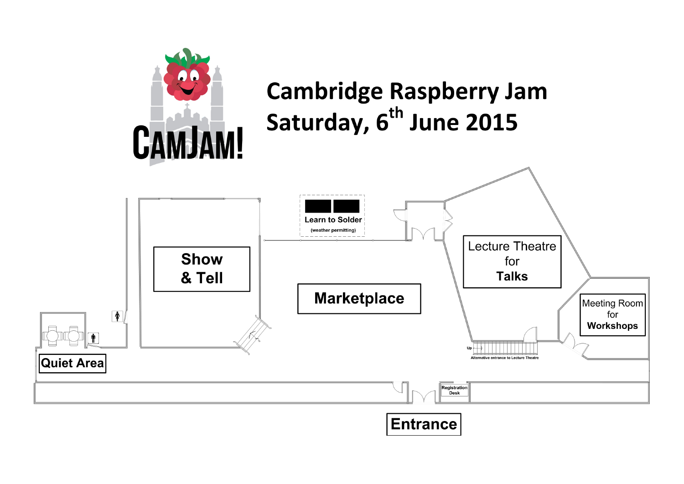